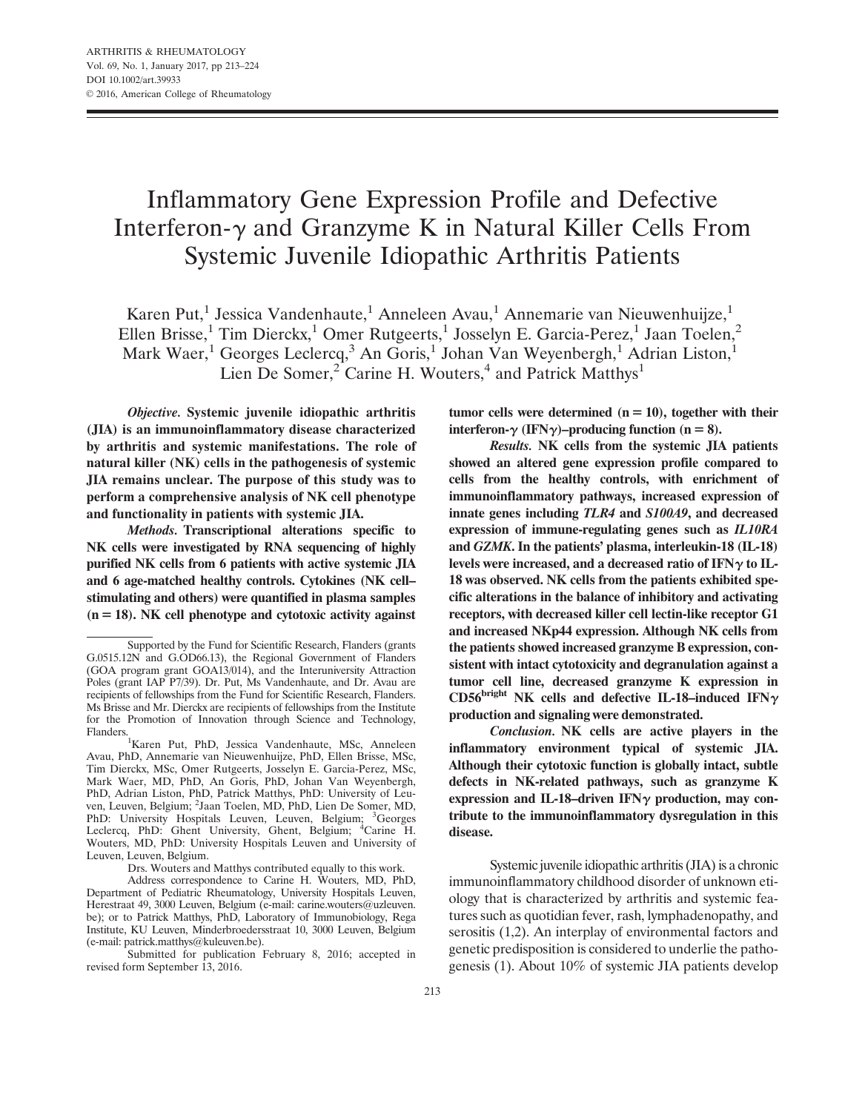# Inflammatory Gene Expression Profile and Defective Interferon- $\gamma$  and Granzyme K in Natural Killer Cells From Systemic Juvenile Idiopathic Arthritis Patients

Karen Put,<sup>1</sup> Jessica Vandenhaute,<sup>1</sup> Anneleen Avau,<sup>1</sup> Annemarie van Nieuwenhuijze,<sup>1</sup> Ellen Brisse,<sup>1</sup> Tim Dierckx,<sup>1</sup> Omer Rutgeerts,<sup>1</sup> Josselyn E. Garcia-Perez,<sup>1</sup> Jaan Toelen,<sup>2</sup> Mark Waer,<sup>1</sup> Georges Leclercq,<sup>3</sup> An Goris,<sup>1</sup> Johan Van Weyenbergh,<sup>1</sup> Adrian Liston,<sup>1</sup> Lien De Somer,<sup>2</sup> Carine H. Wouters,<sup>4</sup> and Patrick Matthys<sup>1</sup>

Objective. Systemic juvenile idiopathic arthritis (JIA) is an immunoinflammatory disease characterized by arthritis and systemic manifestations. The role of natural killer (NK) cells in the pathogenesis of systemic JIA remains unclear. The purpose of this study was to perform a comprehensive analysis of NK cell phenotype and functionality in patients with systemic JIA.

Methods. Transcriptional alterations specific to NK cells were investigated by RNA sequencing of highly purified NK cells from 6 patients with active systemic JIA and 6 age-matched healthy controls. Cytokines (NK cell– stimulating and others) were quantified in plasma samples  $(n = 18)$ . NK cell phenotype and cytotoxic activity against

Drs. Wouters and Matthys contributed equally to this work.

tumor cells were determined  $(n = 10)$ , together with their interferon- $\gamma$  (IFN $\gamma$ )–producing function (n = 8).

Results. NK cells from the systemic JIA patients showed an altered gene expression profile compared to cells from the healthy controls, with enrichment of immunoinflammatory pathways, increased expression of innate genes including TLR4 and S100A9, and decreased expression of immune-regulating genes such as IL10RA and GZMK. In the patients' plasma, interleukin-18 (IL-18) levels were increased, and a decreased ratio of IFN $\gamma$  to IL-18 was observed. NK cells from the patients exhibited specific alterations in the balance of inhibitory and activating receptors, with decreased killer cell lectin-like receptor G1 and increased NKp44 expression. Although NK cells from the patients showed increased granzyme B expression, consistent with intact cytotoxicity and degranulation against a tumor cell line, decreased granzyme K expression in CD56<sup>bright</sup> NK cells and defective IL-18-induced IFN $\gamma$ production and signaling were demonstrated.

Conclusion. NK cells are active players in the inflammatory environment typical of systemic JIA. Although their cytotoxic function is globally intact, subtle defects in NK-related pathways, such as granzyme K expression and IL-18-driven IFN $\gamma$  production, may contribute to the immunoinflammatory dysregulation in this disease.

Systemic juvenile idiopathic arthritis (JIA) is a chronic immunoinflammatory childhood disorder of unknown etiology that is characterized by arthritis and systemic features such as quotidian fever, rash, lymphadenopathy, and serositis (1,2). An interplay of environmental factors and genetic predisposition is considered to underlie the pathogenesis (1). About 10% of systemic JIA patients develop

Supported by the Fund for Scientific Research, Flanders (grants G.0515.12N and G.OD66.13), the Regional Government of Flanders (GOA program grant GOA13/014), and the Interuniversity Attraction Poles (grant IAP P7/39). Dr. Put, Ms Vandenhaute, and Dr. Avau are recipients of fellowships from the Fund for Scientific Research, Flanders. Ms Brisse and Mr. Dierckx are recipients of fellowships from the Institute for the Promotion of Innovation through Science and Technology, Flanders.1

<sup>&</sup>lt;sup>1</sup>Karen Put, PhD, Jessica Vandenhaute, MSc, Anneleen Avau, PhD, Annemarie van Nieuwenhuijze, PhD, Ellen Brisse, MSc, Tim Dierckx, MSc, Omer Rutgeerts, Josselyn E. Garcia-Perez, MSc, Mark Waer, MD, PhD, An Goris, PhD, Johan Van Weyenbergh, PhD, Adrian Liston, PhD, Patrick Matthys, PhD: University of Leuven, Leuven, Belgium; <sup>2</sup>Jaan Toelen, MD, PhD, Lien De Somer, MD, PhD: University Hospitals Leuven, Leuven, Belgium; <sup>3</sup>Georges Leclercq, PhD: Ghent University, Ghent, Belgium; <sup>4</sup>Carine H. Wouters, MD, PhD: University Hospitals Leuven and University of Leuven, Leuven, Belgium.

Address correspondence to Carine H. Wouters, MD, PhD, Department of Pediatric Rheumatology, University Hospitals Leuven, Herestraat 49, 3000 Leuven, Belgium (e-mail: carine.wouters@uzleuven. be); or to Patrick Matthys, PhD, Laboratory of Immunobiology, Rega Institute, KU Leuven, Minderbroedersstraat 10, 3000 Leuven, Belgium (e-mail: patrick.matthys@kuleuven.be).

Submitted for publication February 8, 2016; accepted in revised form September 13, 2016.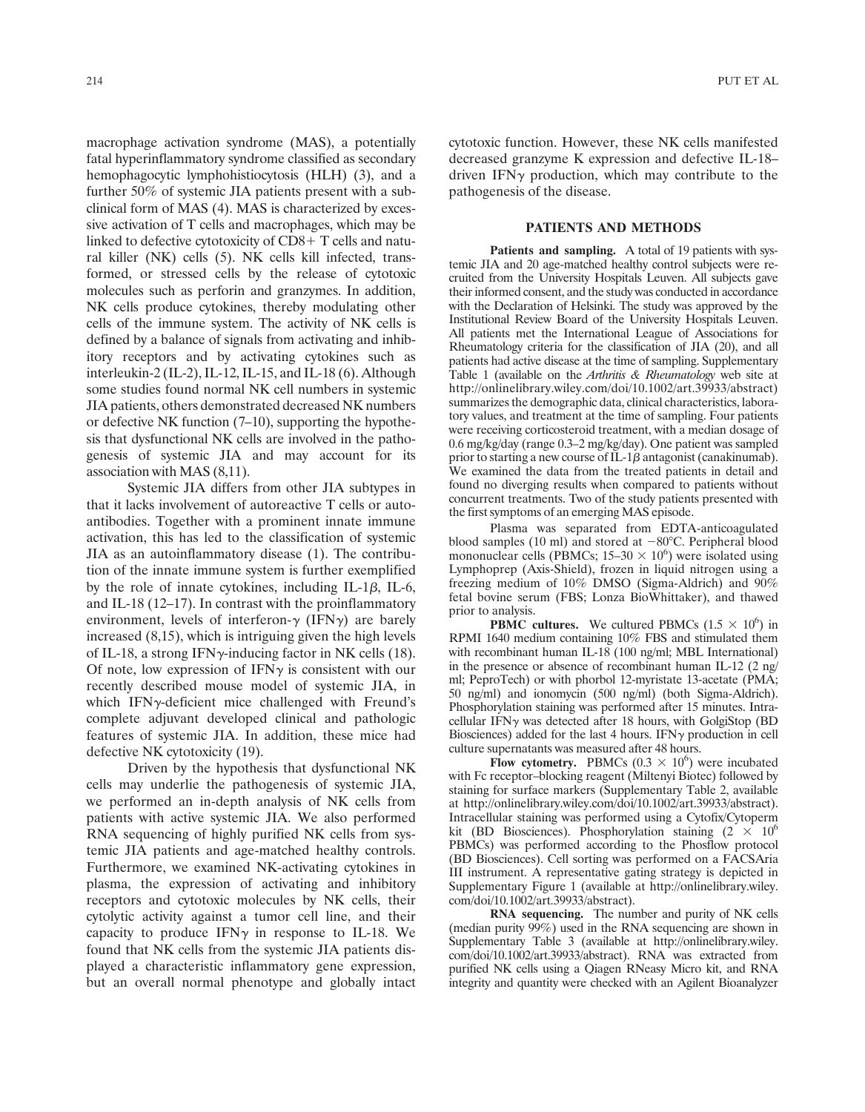macrophage activation syndrome (MAS), a potentially fatal hyperinflammatory syndrome classified as secondary hemophagocytic lymphohistiocytosis (HLH) (3), and a further 50% of systemic JIA patients present with a subclinical form of MAS (4). MAS is characterized by excessive activation of T cells and macrophages, which may be linked to defective cytotoxicity of  $CD8+T$  cells and natural killer (NK) cells (5). NK cells kill infected, transformed, or stressed cells by the release of cytotoxic molecules such as perforin and granzymes. In addition, NK cells produce cytokines, thereby modulating other cells of the immune system. The activity of NK cells is defined by a balance of signals from activating and inhibitory receptors and by activating cytokines such as interleukin-2 (IL-2), IL-12, IL-15, and IL-18 (6). Although some studies found normal NK cell numbers in systemic JIA patients, others demonstrated decreased NK numbers or defective NK function (7–10), supporting the hypothesis that dysfunctional NK cells are involved in the pathogenesis of systemic JIA and may account for its association with MAS (8,11).

Systemic JIA differs from other JIA subtypes in that it lacks involvement of autoreactive T cells or autoantibodies. Together with a prominent innate immune activation, this has led to the classification of systemic JIA as an autoinflammatory disease (1). The contribution of the innate immune system is further exemplified by the role of innate cytokines, including IL-1 $\beta$ , IL-6, and IL-18 (12–17). In contrast with the proinflammatory environment, levels of interferon- $\gamma$  (IFN $\gamma$ ) are barely increased (8,15), which is intriguing given the high levels of IL-18, a strong IFN $\gamma$ -inducing factor in NK cells (18). Of note, low expression of IFN $\gamma$  is consistent with our recently described mouse model of systemic JIA, in which IFN $\gamma$ -deficient mice challenged with Freund's complete adjuvant developed clinical and pathologic features of systemic JIA. In addition, these mice had defective NK cytotoxicity (19).

Driven by the hypothesis that dysfunctional NK cells may underlie the pathogenesis of systemic JIA, we performed an in-depth analysis of NK cells from patients with active systemic JIA. We also performed RNA sequencing of highly purified NK cells from systemic JIA patients and age-matched healthy controls. Furthermore, we examined NK-activating cytokines in plasma, the expression of activating and inhibitory receptors and cytotoxic molecules by NK cells, their cytolytic activity against a tumor cell line, and their capacity to produce IFN $\gamma$  in response to IL-18. We found that NK cells from the systemic JIA patients displayed a characteristic inflammatory gene expression, but an overall normal phenotype and globally intact cytotoxic function. However, these NK cells manifested decreased granzyme K expression and defective IL-18– driven IFN $\gamma$  production, which may contribute to the pathogenesis of the disease.

# PATIENTS AND METHODS

Patients and sampling. A total of 19 patients with systemic JIA and 20 age-matched healthy control subjects were recruited from the University Hospitals Leuven. All subjects gave their informed consent, and the study was conducted in accordance with the Declaration of Helsinki. The study was approved by the Institutional Review Board of the University Hospitals Leuven. All patients met the International League of Associations for Rheumatology criteria for the classification of JIA (20), and all patients had active disease at the time of sampling. Supplementary Table 1 (available on the *Arthritis & Rheumatology* web site at <http://onlinelibrary.wiley.com/doi/10.1002/art.39933/abstract>) summarizes the demographic data, clinical characteristics, laboratory values, and treatment at the time of sampling. Four patients were receiving corticosteroid treatment, with a median dosage of 0.6 mg/kg/day (range 0.3–2 mg/kg/day). One patient was sampled prior to starting a new course of IL-1 $\beta$  antagonist (canakinumab). We examined the data from the treated patients in detail and found no diverging results when compared to patients without concurrent treatments. Two of the study patients presented with the first symptoms of an emerging MAS episode.

Plasma was separated from EDTA-anticoagulated blood samples (10 ml) and stored at  $-80^{\circ}$ C. Peripheral blood mononuclear cells (PBMCs;  $15-30 \times 10^6$ ) were isolated using Lymphoprep (Axis-Shield), frozen in liquid nitrogen using a freezing medium of 10% DMSO (Sigma-Aldrich) and 90% fetal bovine serum (FBS; Lonza BioWhittaker), and thawed prior to analysis.

**PBMC cultures.** We cultured PBMCs  $(1.5 \times 10^6)$  in RPMI 1640 medium containing 10% FBS and stimulated them with recombinant human IL-18 (100 ng/ml; MBL International) in the presence or absence of recombinant human IL-12 (2 ng/ ml; PeproTech) or with phorbol 12-myristate 13-acetate (PMA; 50 ng/ml) and ionomycin (500 ng/ml) (both Sigma-Aldrich). Phosphorylation staining was performed after 15 minutes. Intracellular IFN $\gamma$  was detected after 18 hours, with GolgiStop (BD Biosciences) added for the last 4 hours. IFN $\gamma$  production in cell culture supernatants was measured after 48 hours.

Flow cytometry. PBMCs  $(0.3 \times 10^6)$  were incubated with Fc receptor–blocking reagent (Miltenyi Biotec) followed by staining for surface markers (Supplementary Table 2, available at<http://onlinelibrary.wiley.com/doi/10.1002/art.39933/abstract>). Intracellular staining was performed using a Cytofix/Cytoperm kit (BD Biosciences). Phosphorylation staining  $(2 \times 10^6$ PBMCs) was performed according to the Phosflow protocol (BD Biosciences). Cell sorting was performed on a FACSAria III instrument. A representative gating strategy is depicted in Supplementary Figure 1 (available at [http://onlinelibrary.wiley.](http://onlinelibrary.wiley.com/doi/10.1002/art.39933/abstract) [com/doi/10.1002/art.39933/abstract](http://onlinelibrary.wiley.com/doi/10.1002/art.39933/abstract)).

RNA sequencing. The number and purity of NK cells (median purity 99%) used in the RNA sequencing are shown in Supplementary Table 3 (available at [http://onlinelibrary.wiley.](http://onlinelibrary.wiley.com/doi/10.1002/art.39933/abstract) [com/doi/10.1002/art.39933/abstract](http://onlinelibrary.wiley.com/doi/10.1002/art.39933/abstract)). RNA was extracted from purified NK cells using a Qiagen RNeasy Micro kit, and RNA integrity and quantity were checked with an Agilent Bioanalyzer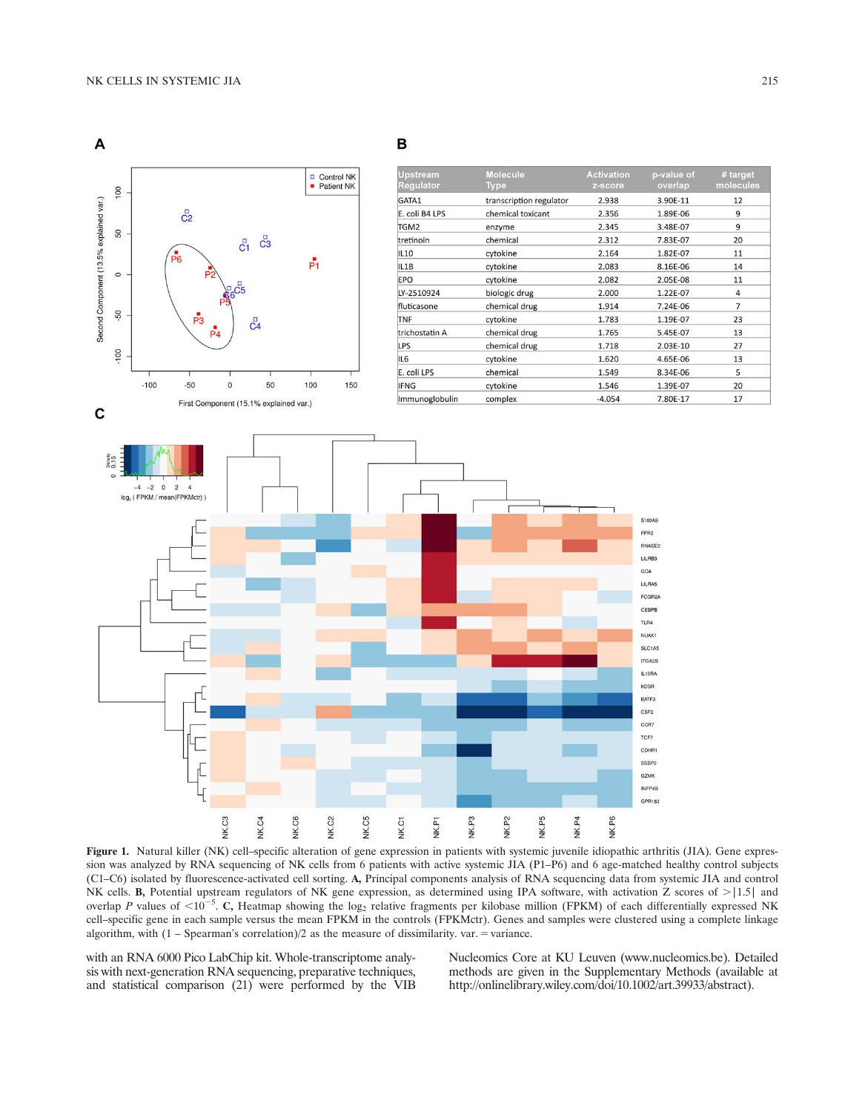

Figure 1. Natural killer (NK) cell–specific alteration of gene expression in patients with systemic juvenile idiopathic arthritis (JIA). Gene expression was analyzed by RNA sequencing of NK cells from 6 patients with active systemic JIA (P1–P6) and 6 age-matched healthy control subjects (C1–C6) isolated by fluorescence-activated cell sorting. A, Principal components analysis of RNA sequencing data from systemic JIA and control NK cells. B, Potential upstream regulators of NK gene expression, as determined using IPA software, with activation Z scores of  $>$ |1.5| and overlap P values of  $\leq 10^{-5}$ . C, Heatmap showing the log<sub>2</sub> relative fragments per kilobase million (FPKM) of each differentially expressed NK cell–specific gene in each sample versus the mean FPKM in the controls (FPKMctr). Genes and samples were clustered using a complete linkage algorithm, with  $(1 - Spearman's correlation)/2$  as the measure of dissimilarity. var. = variance.

with an RNA 6000 Pico LabChip kit. Whole-transcriptome analysis with next-generation RNA sequencing, preparative techniques, and statistical comparison (21) were performed by the VIB

Nucleomics Core at KU Leuven [\(www.nucleomics.be\)](http://www.nucleomics.be). Detailed methods are given in the Supplementary Methods (available at <http://onlinelibrary.wiley.com/doi/10.1002/art.39933/abstract>).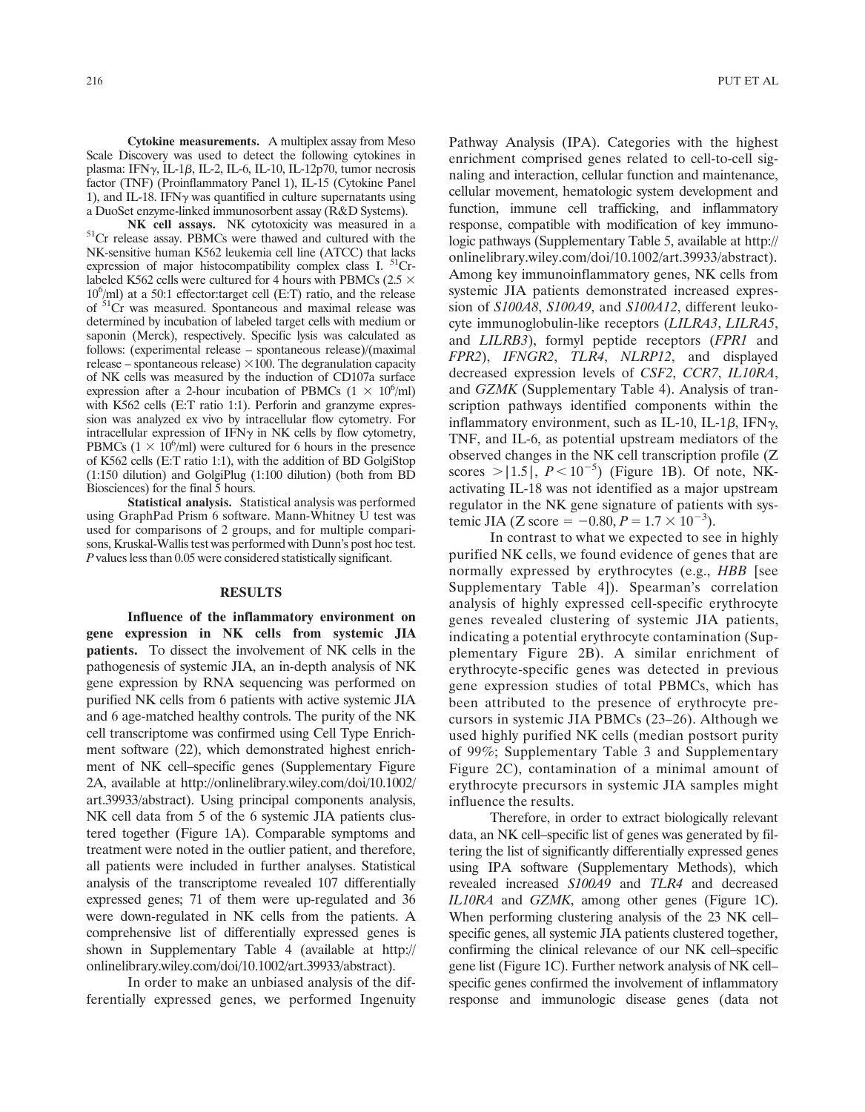Cytokine measurements. A multiplex assay from Meso Scale Discovery was used to detect the following cytokines in plasma: IFN $\gamma$ , IL-1 $\beta$ , IL-2, IL-6, IL-10, IL-12p70, tumor necrosis factor (TNF) (Proinflammatory Panel 1), IL-15 (Cytokine Panel 1), and IL-18. IFN $\gamma$  was quantified in culture supernatants using a DuoSet enzyme-linked immunosorbent assay (R&D Systems).

NK cell assays. NK cytotoxicity was measured in a 51Cr release assay. PBMCs were thawed and cultured with the NK-sensitive human K562 leukemia cell line (ATCC) that lacks expression of major histocompatibility complex class I.<sup>51</sup>Crlabeled K562 cells were cultured for 4 hours with PBMCs (2.5  $\times$ 106 /ml) at a 50:1 effector:target cell (E:T) ratio, and the release of 51Cr was measured. Spontaneous and maximal release was determined by incubation of labeled target cells with medium or saponin (Merck), respectively. Specific lysis was calculated as follows: (experimental release – spontaneous release)/(maximal release – spontaneous release)  $\times 100$ . The degranulation capacity of NK cells was measured by the induction of CD107a surface expression after a 2-hour incubation of PBMCs  $(1 \times 10^6/\text{ml})$ with K562 cells (E:T ratio 1:1). Perforin and granzyme expression was analyzed ex vivo by intracellular flow cytometry. For intracellular expression of IFN $\gamma$  in NK cells by flow cytometry, PBMCs ( $1 \times 10^6$ /ml) were cultured for 6 hours in the presence of K562 cells (E:T ratio 1:1), with the addition of BD GolgiStop (1:150 dilution) and GolgiPlug (1:100 dilution) (both from BD Biosciences) for the final 5 hours.

Statistical analysis. Statistical analysis was performed using GraphPad Prism  $6$  software. Mann-Whitney  $\dot{U}$  test was used for comparisons of 2 groups, and for multiple comparisons, Kruskal-Wallis test was performed with Dunn's post hoc test. P values less than 0.05 were considered statistically significant.

## RESULTS

Influence of the inflammatory environment on gene expression in NK cells from systemic JIA patients. To dissect the involvement of NK cells in the pathogenesis of systemic JIA, an in-depth analysis of NK gene expression by RNA sequencing was performed on purified NK cells from 6 patients with active systemic JIA and 6 age-matched healthy controls. The purity of the NK cell transcriptome was confirmed using Cell Type Enrichment software (22), which demonstrated highest enrichment of NK cell–specific genes (Supplementary Figure 2A, available at [http://onlinelibrary.wiley.com/doi/10.1002/](http://onlinelibrary.wiley.com/doi/10.1002/art.39933/abstract) [art.39933/abstract](http://onlinelibrary.wiley.com/doi/10.1002/art.39933/abstract)). Using principal components analysis, NK cell data from 5 of the 6 systemic JIA patients clustered together (Figure 1A). Comparable symptoms and treatment were noted in the outlier patient, and therefore, all patients were included in further analyses. Statistical analysis of the transcriptome revealed 107 differentially expressed genes; 71 of them were up-regulated and 36 were down-regulated in NK cells from the patients. A comprehensive list of differentially expressed genes is shown in Supplementary Table 4 (available at [http://](http://onlinelibrary.wiley.com/doi/10.1002/art.39933/abstract) [onlinelibrary.wiley.com/doi/10.1002/art.39933/abstract](http://onlinelibrary.wiley.com/doi/10.1002/art.39933/abstract)).

In order to make an unbiased analysis of the differentially expressed genes, we performed Ingenuity

Pathway Analysis (IPA). Categories with the highest enrichment comprised genes related to cell-to-cell signaling and interaction, cellular function and maintenance, cellular movement, hematologic system development and function, immune cell trafficking, and inflammatory response, compatible with modification of key immunologic pathways (Supplementary Table 5, available at [http://](http://onlinelibrary.wiley.com/doi/10.1002/art.39933/abstract) [onlinelibrary.wiley.com/doi/10.1002/art.39933/abstract\)](http://onlinelibrary.wiley.com/doi/10.1002/art.39933/abstract). Among key immunoinflammatory genes, NK cells from systemic JIA patients demonstrated increased expression of S100A8, S100A9, and S100A12, different leukocyte immunoglobulin-like receptors (LILRA3, LILRA5, and LILRB3), formyl peptide receptors (FPR1 and FPR2), IFNGR2, TLR4, NLRP12, and displayed decreased expression levels of CSF2, CCR7, IL10RA, and GZMK (Supplementary Table 4). Analysis of transcription pathways identified components within the inflammatory environment, such as IL-10, IL-1 $\beta$ , IFN $\gamma$ , TNF, and IL-6, as potential upstream mediators of the observed changes in the NK cell transcription profile (Z scores > $|1.5|$ ,  $P < 10^{-5}$ ) (Figure 1B). Of note, NKactivating IL-18 was not identified as a major upstream regulator in the NK gene signature of patients with systemic JIA (Z score =  $-0.80$ ,  $P = 1.7 \times 10^{-3}$ ).

In contrast to what we expected to see in highly purified NK cells, we found evidence of genes that are normally expressed by erythrocytes (e.g., HBB [see Supplementary Table 4]). Spearman's correlation analysis of highly expressed cell-specific erythrocyte genes revealed clustering of systemic JIA patients, indicating a potential erythrocyte contamination (Supplementary Figure 2B). A similar enrichment of erythrocyte-specific genes was detected in previous gene expression studies of total PBMCs, which has been attributed to the presence of erythrocyte precursors in systemic JIA PBMCs (23–26). Although we used highly purified NK cells (median postsort purity of 99%; Supplementary Table 3 and Supplementary Figure 2C), contamination of a minimal amount of erythrocyte precursors in systemic JIA samples might influence the results.

Therefore, in order to extract biologically relevant data, an NK cell–specific list of genes was generated by filtering the list of significantly differentially expressed genes using IPA software (Supplementary Methods), which revealed increased S100A9 and TLR4 and decreased IL10RA and GZMK, among other genes (Figure 1C). When performing clustering analysis of the 23 NK cell– specific genes, all systemic JIA patients clustered together, confirming the clinical relevance of our NK cell–specific gene list (Figure 1C). Further network analysis of NK cell– specific genes confirmed the involvement of inflammatory response and immunologic disease genes (data not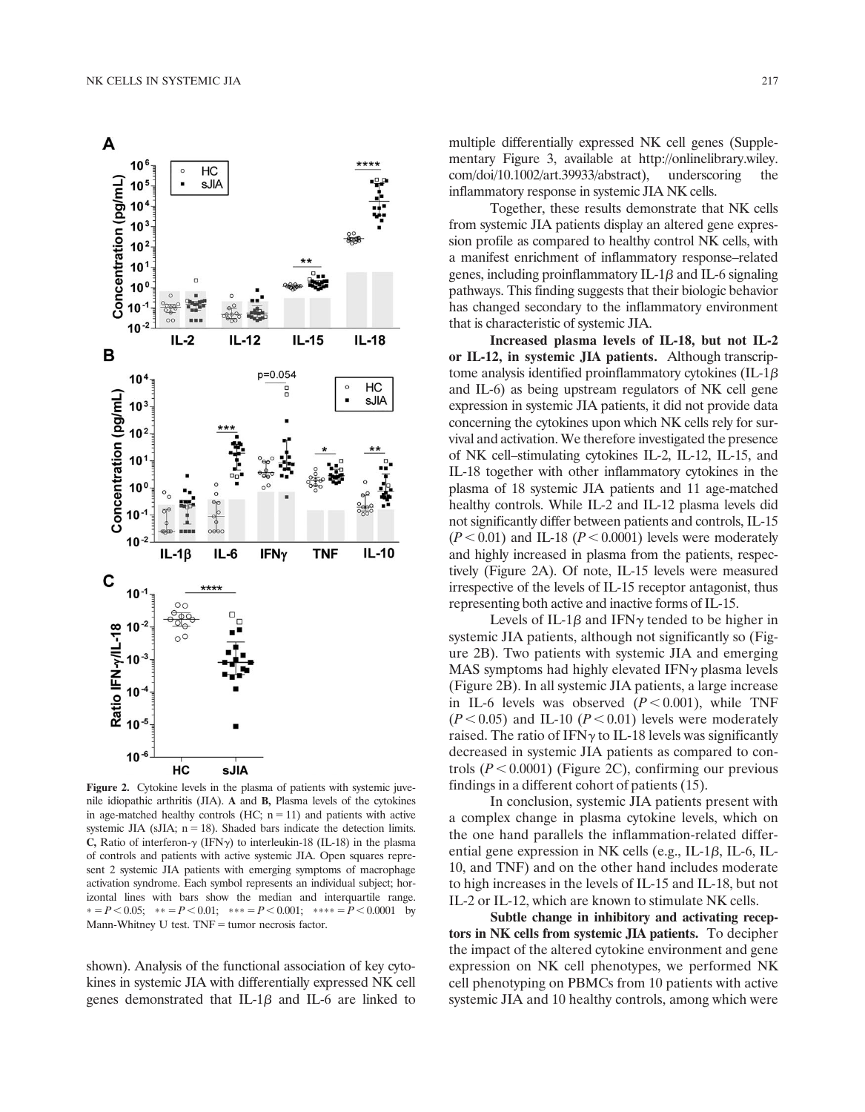

Figure 2. Cytokine levels in the plasma of patients with systemic juvenile idiopathic arthritis (JIA). A and B, Plasma levels of the cytokines in age-matched healthy controls (HC;  $n = 11$ ) and patients with active systemic JIA (sJIA;  $n = 18$ ). Shaded bars indicate the detection limits. C, Ratio of interferon- $\gamma$  (IFN $\gamma$ ) to interleukin-18 (IL-18) in the plasma of controls and patients with active systemic JIA. Open squares represent 2 systemic JIA patients with emerging symptoms of macrophage activation syndrome. Each symbol represents an individual subject; horizontal lines with bars show the median and interquartile range.  $* = P < 0.05;$   $* = P < 0.01;$   $* = P < 0.001;$   $* = P < 0.0001$  by Mann-Whitney U test.  $TNF =$  tumor necrosis factor.

shown). Analysis of the functional association of key cytokines in systemic JIA with differentially expressed NK cell genes demonstrated that IL-1 $\beta$  and IL-6 are linked to

multiple differentially expressed NK cell genes (Supplementary Figure 3, available at [http://onlinelibrary.wiley.](http://onlinelibrary.wiley.com/doi/10.1002/art.39933/abstract) [com/doi/10.1002/art.39933/abstract](http://onlinelibrary.wiley.com/doi/10.1002/art.39933/abstract)), underscoring the inflammatory response in systemic JIA NK cells.

Together, these results demonstrate that NK cells from systemic JIA patients display an altered gene expression profile as compared to healthy control NK cells, with a manifest enrichment of inflammatory response–related genes, including proinflammatory IL-1 $\beta$  and IL-6 signaling pathways. This finding suggests that their biologic behavior has changed secondary to the inflammatory environment that is characteristic of systemic JIA.

Increased plasma levels of IL-18, but not IL-2 or IL-12, in systemic JIA patients. Although transcriptome analysis identified proinflammatory cytokines (IL-1 $\beta$ ) and IL-6) as being upstream regulators of NK cell gene expression in systemic JIA patients, it did not provide data concerning the cytokines upon which NK cells rely for survival and activation. We therefore investigated the presence of NK cell–stimulating cytokines IL-2, IL-12, IL-15, and IL-18 together with other inflammatory cytokines in the plasma of 18 systemic JIA patients and 11 age-matched healthy controls. While IL-2 and IL-12 plasma levels did not significantly differ between patients and controls, IL-15  $(P < 0.01)$  and IL-18  $(P < 0.0001)$  levels were moderately and highly increased in plasma from the patients, respectively (Figure 2A). Of note, IL-15 levels were measured irrespective of the levels of IL-15 receptor antagonist, thus representing both active and inactive forms of IL-15.

Levels of IL-1 $\beta$  and IFN $\gamma$  tended to be higher in systemic JIA patients, although not significantly so (Figure 2B). Two patients with systemic JIA and emerging MAS symptoms had highly elevated  $IFN\gamma$  plasma levels (Figure 2B). In all systemic JIA patients, a large increase in IL-6 levels was observed  $(P < 0.001)$ , while TNF  $(P<0.05)$  and IL-10 ( $P<0.01$ ) levels were moderately raised. The ratio of IFN $\gamma$  to IL-18 levels was significantly decreased in systemic JIA patients as compared to controls  $(P < 0.0001)$  (Figure 2C), confirming our previous findings in a different cohort of patients (15).

In conclusion, systemic JIA patients present with a complex change in plasma cytokine levels, which on the one hand parallels the inflammation-related differential gene expression in NK cells (e.g., IL-1 $\beta$ , IL-6, IL-10, and TNF) and on the other hand includes moderate to high increases in the levels of IL-15 and IL-18, but not IL-2 or IL-12, which are known to stimulate NK cells.

Subtle change in inhibitory and activating receptors in NK cells from systemic JIA patients. To decipher the impact of the altered cytokine environment and gene expression on NK cell phenotypes, we performed NK cell phenotyping on PBMCs from 10 patients with active systemic JIA and 10 healthy controls, among which were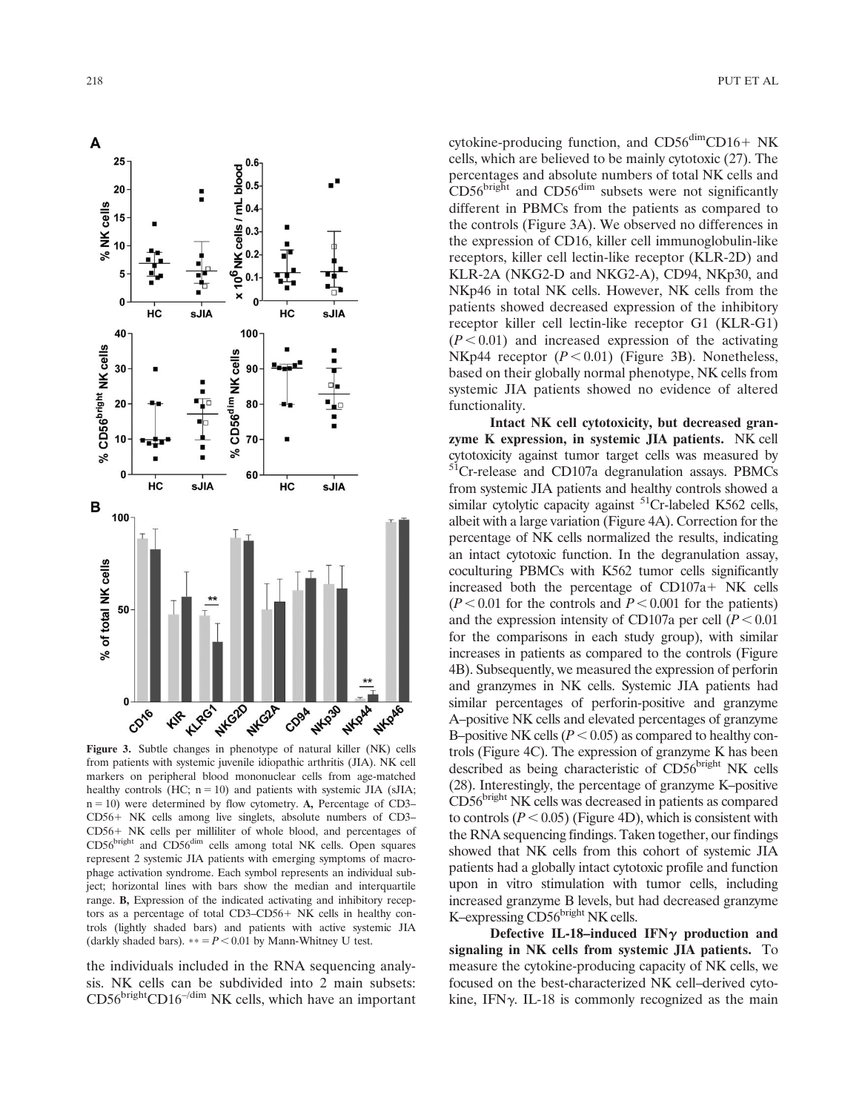

from patients with systemic juvenile idiopathic arthritis (JIA). NK cell markers on peripheral blood mononuclear cells from age-matched healthy controls (HC;  $n = 10$ ) and patients with systemic JIA (sJIA;  $n = 10$ ) were determined by flow cytometry. A, Percentage of CD3– CD56+ NK cells among live singlets, absolute numbers of CD3-CD56+ NK cells per milliliter of whole blood, and percentages of CD56<sup>bright</sup> and CD56<sup>dim</sup> cells among total NK cells. Open squares represent 2 systemic JIA patients with emerging symptoms of macrophage activation syndrome. Each symbol represents an individual subject; horizontal lines with bars show the median and interquartile range. B, Expression of the indicated activating and inhibitory receptors as a percentage of total CD3-CD56+ NK cells in healthy controls (lightly shaded bars) and patients with active systemic JIA (darkly shaded bars).  $** = P < 0.01$  by Mann-Whitney U test.

the individuals included in the RNA sequencing analysis. NK cells can be subdivided into 2 main subsets:  $CD56<sup>bright</sup>CD16<sup>–/dim</sup> NK cells, which have an important$ 

cytokine-producing function, and  $CD56<sup>dim</sup>CD16+ NK$ cells, which are believed to be mainly cytotoxic (27). The percentages and absolute numbers of total NK cells and  $CD56<sup>bright</sup>$  and  $CD56<sup>dim</sup>$  subsets were not significantly different in PBMCs from the patients as compared to the controls (Figure 3A). We observed no differences in the expression of CD16, killer cell immunoglobulin-like receptors, killer cell lectin-like receptor (KLR-2D) and KLR-2A (NKG2-D and NKG2-A), CD94, NKp30, and NKp46 in total NK cells. However, NK cells from the patients showed decreased expression of the inhibitory receptor killer cell lectin-like receptor G1 (KLR-G1)  $(P<0.01)$  and increased expression of the activating NKp44 receptor  $(P < 0.01)$  (Figure 3B). Nonetheless, based on their globally normal phenotype, NK cells from systemic JIA patients showed no evidence of altered functionality.

Intact NK cell cytotoxicity, but decreased granzyme K expression, in systemic JIA patients. NK cell cytotoxicity against tumor target cells was measured by <sup>51</sup>Cr-release and CD107a degranulation assays. PBMCs from systemic JIA patients and healthy controls showed a similar cytolytic capacity against  ${}^{51}Cr$ -labeled K562 cells, albeit with a large variation (Figure 4A). Correction for the percentage of NK cells normalized the results, indicating an intact cytotoxic function. In the degranulation assay, coculturing PBMCs with K562 tumor cells significantly increased both the percentage of  $CD107a+NK$  cells  $(P<0.01$  for the controls and  $P<0.001$  for the patients) and the expression intensity of CD107a per cell  $(P < 0.01)$ for the comparisons in each study group), with similar increases in patients as compared to the controls (Figure 4B). Subsequently, we measured the expression of perforin and granzymes in NK cells. Systemic JIA patients had similar percentages of perforin-positive and granzyme A–positive NK cells and elevated percentages of granzyme B–positive NK cells ( $P < 0.05$ ) as compared to healthy controls (Figure 4C). The expression of granzyme K has been described as being characteristic of CD56bright NK cells (28). Interestingly, the percentage of granzyme K–positive CD56<sup>bright</sup> NK cells was decreased in patients as compared to controls ( $P < 0.05$ ) (Figure 4D), which is consistent with the RNA sequencing findings. Taken together, our findings showed that NK cells from this cohort of systemic JIA patients had a globally intact cytotoxic profile and function upon in vitro stimulation with tumor cells, including increased granzyme B levels, but had decreased granzyme K–expressing  $CD56<sup>bright</sup> NK cells.$ 

Defective IL-18-induced IFN $\gamma$  production and signaling in NK cells from systemic JIA patients. To measure the cytokine-producing capacity of NK cells, we focused on the best-characterized NK cell–derived cytokine, IFN $\gamma$ . IL-18 is commonly recognized as the main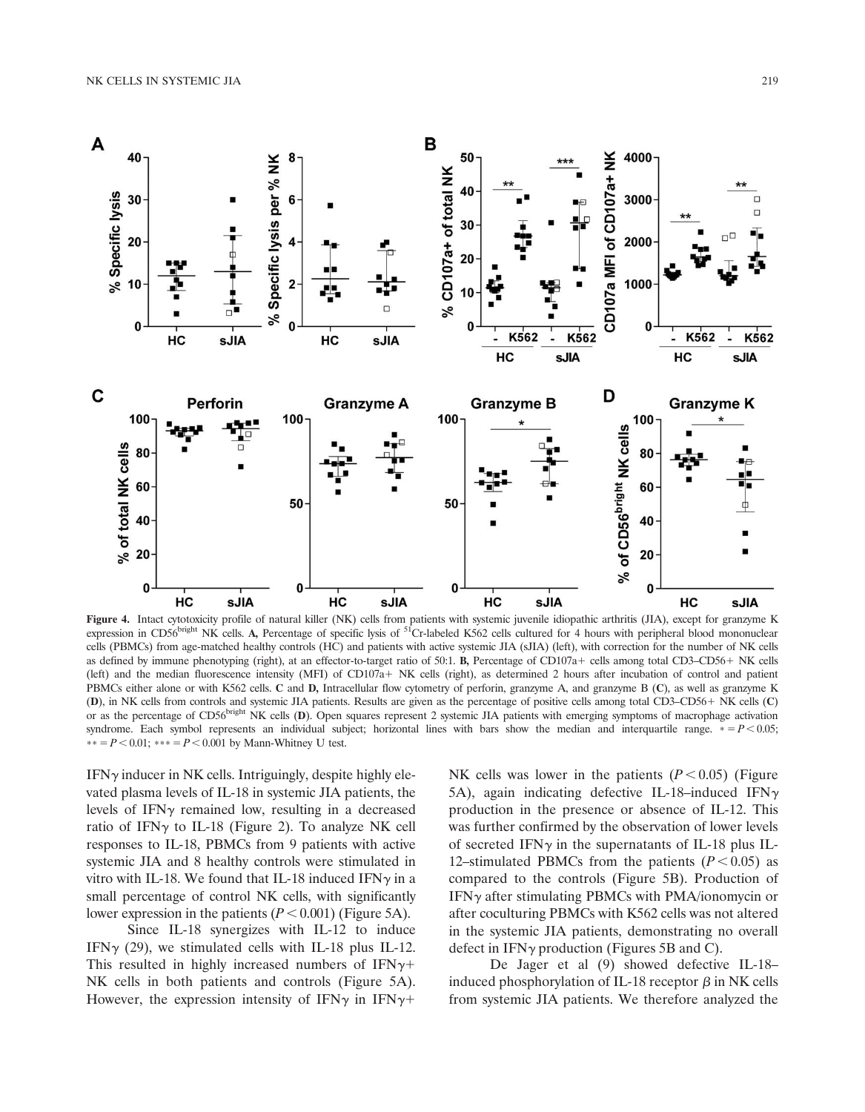

Figure 4. Intact cytotoxicity profile of natural killer (NK) cells from patients with systemic juvenile idiopathic arthritis (JIA), except for granzyme K expression in CD56 $^{bright}$  NK cells. A, Percentage of specific lysis of  $^{51}$ Cr-labeled K562 cells cultured for 4 hours with peripheral blood mononuclear cells (PBMCs) from age-matched healthy controls (HC) and patients with active systemic JIA (sJIA) (left), with correction for the number of NK cells as defined by immune phenotyping (right), at an effector-to-target ratio of 50:1. B, Percentage of CD107a+ cells among total CD3–CD56+ NK cells (left) and the median fluorescence intensity (MFI) of CD107a+ NK cells (right), as determined 2 hours after incubation of control and patient PBMCs either alone or with K562 cells. C and D, Intracellular flow cytometry of perforin, granzyme A, and granzyme B (C), as well as granzyme K (D), in NK cells from controls and systemic JIA patients. Results are given as the percentage of positive cells among total CD3–CD56+ NK cells (C) or as the percentage of CD56<sup>bright</sup> NK cells (D). Open squares represent 2 systemic JIA patients with emerging symptoms of macrophage activation syndrome. Each symbol represents an individual subject; horizontal lines with bars show the median and interquartile range.  $* = P < 0.05$ ; \*\* =  $P$  < 0.01; \*\*\* =  $P$  < 0.001 by Mann-Whitney U test.

 $IFN<sub>Y</sub>$  inducer in NK cells. Intriguingly, despite highly elevated plasma levels of IL-18 in systemic JIA patients, the levels of IFN $\gamma$  remained low, resulting in a decreased ratio of IFN $\gamma$  to IL-18 (Figure 2). To analyze NK cell responses to IL-18, PBMCs from 9 patients with active systemic JIA and 8 healthy controls were stimulated in vitro with IL-18. We found that IL-18 induced IFN $\gamma$  in a small percentage of control NK cells, with significantly lower expression in the patients  $(P < 0.001)$  (Figure 5A).

Since IL-18 synergizes with IL-12 to induce IFN $\gamma$  (29), we stimulated cells with IL-18 plus IL-12. This resulted in highly increased numbers of IFN $\gamma$ + NK cells in both patients and controls (Figure 5A). However, the expression intensity of IFN $\gamma$  in IFN $\gamma$ +

NK cells was lower in the patients  $(P < 0.05)$  (Figure 5A), again indicating defective IL-18-induced IFN $\gamma$ production in the presence or absence of IL-12. This was further confirmed by the observation of lower levels of secreted IFN $\gamma$  in the supernatants of IL-18 plus IL-12–stimulated PBMCs from the patients  $(P < 0.05)$  as compared to the controls (Figure 5B). Production of  $IFN\gamma$  after stimulating PBMCs with PMA/ionomycin or after coculturing PBMCs with K562 cells was not altered in the systemic JIA patients, demonstrating no overall defect in  $IFN\gamma$  production (Figures 5B and C).

De Jager et al (9) showed defective IL-18– induced phosphorylation of IL-18 receptor  $\beta$  in NK cells from systemic JIA patients. We therefore analyzed the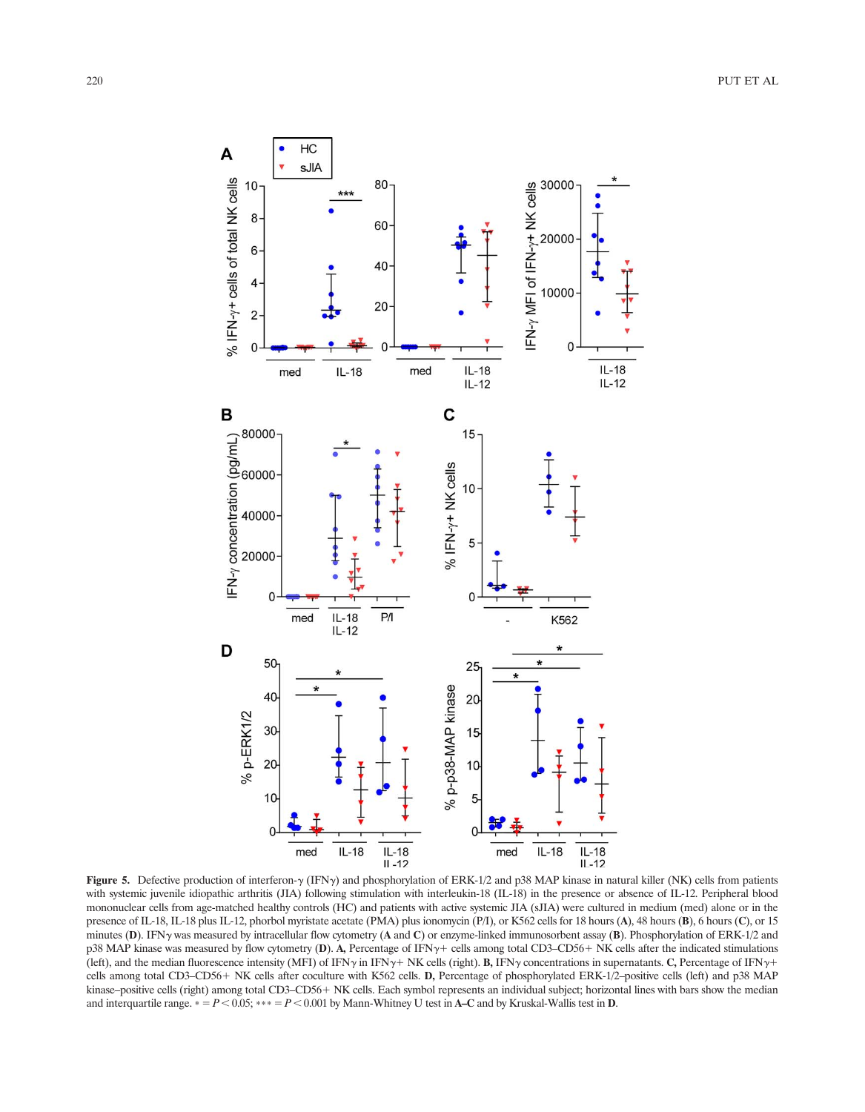

Figure 5. Defective production of interferon- $\gamma$  (IFN $\gamma$ ) and phosphorylation of ERK-1/2 and p38 MAP kinase in natural killer (NK) cells from patients with systemic juvenile idiopathic arthritis (JIA) following stimulation with interleukin-18 (IL-18) in the presence or absence of IL-12. Peripheral blood mononuclear cells from age-matched healthy controls (HC) and patients with active systemic JIA (sJIA) were cultured in medium (med) alone or in the presence of IL-18, IL-18 plus IL-12, phorbol myristate acetate (PMA) plus ionomycin (P/I), or K562 cells for 18 hours (A), 48 hours (B), 6 hours (C), or 15 minutes (D). IFNy was measured by intracellular flow cytometry (A and C) or enzyme-linked immunosorbent assay (B). Phosphorylation of ERK-1/2 and p38 MAP kinase was measured by flow cytometry (D). A, Percentage of IFN $\gamma$ + cells among total CD3–CD56+ NK cells after the indicated stimulations (left), and the median fluorescence intensity (MFI) of IFN $\gamma$  in IFN $\gamma$ + NK cells (right). B, IFN $\gamma$  concentrations in supernatants. C, Percentage of IFN $\gamma$ + cells among total CD3–CD56+ NK cells after coculture with K562 cells. D, Percentage of phosphorylated ERK-1/2–positive cells (left) and p38 MAP kinase–positive cells (right) among total CD3–CD56+ NK cells. Each symbol represents an individual subject; horizontal lines with bars show the median and interquartile range.  $* = P < 0.05$ ;  $** = P < 0.001$  by Mann-Whitney U test in A–C and by Kruskal-Wallis test in D.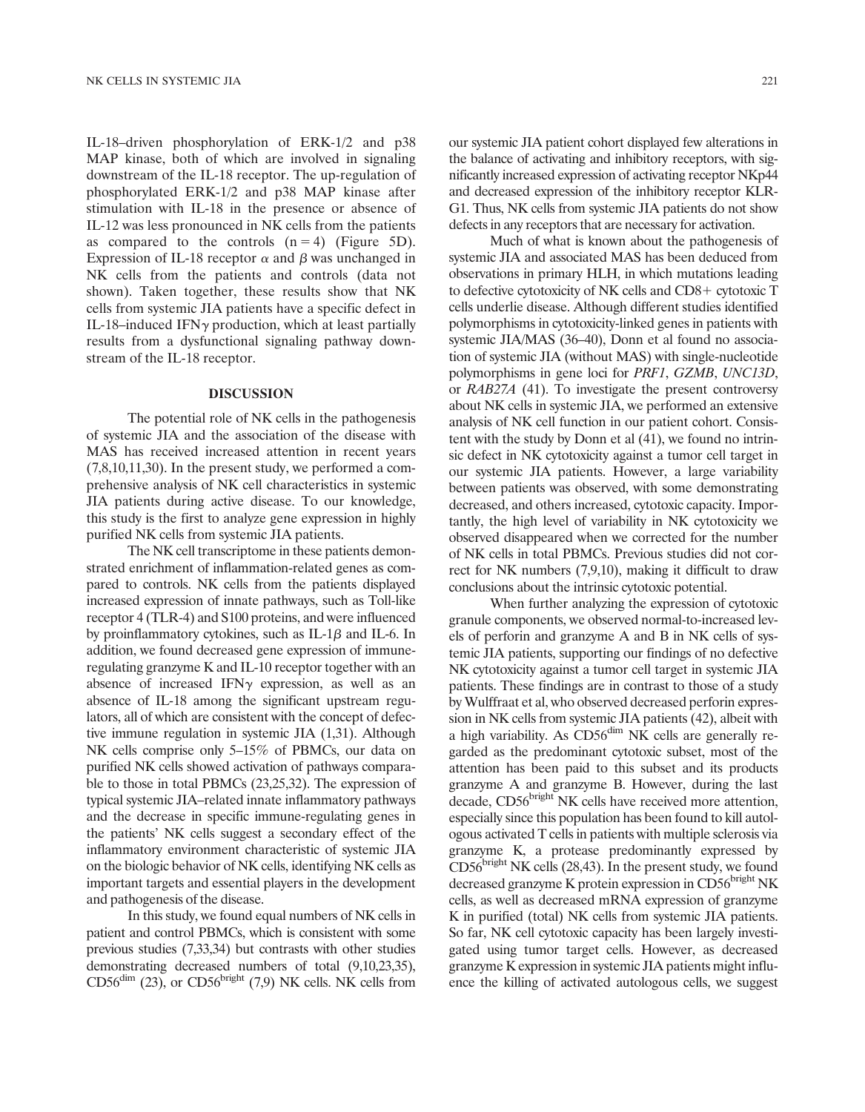IL-18–driven phosphorylation of ERK-1/2 and p38 MAP kinase, both of which are involved in signaling downstream of the IL-18 receptor. The up-regulation of phosphorylated ERK-1/2 and p38 MAP kinase after stimulation with IL-18 in the presence or absence of IL-12 was less pronounced in NK cells from the patients as compared to the controls  $(n = 4)$  (Figure 5D). Expression of IL-18 receptor  $\alpha$  and  $\beta$  was unchanged in NK cells from the patients and controls (data not shown). Taken together, these results show that NK cells from systemic JIA patients have a specific defect in IL-18–induced IFN $\gamma$  production, which at least partially results from a dysfunctional signaling pathway downstream of the IL-18 receptor.

# DISCUSSION

The potential role of NK cells in the pathogenesis of systemic JIA and the association of the disease with MAS has received increased attention in recent years (7,8,10,11,30). In the present study, we performed a comprehensive analysis of NK cell characteristics in systemic JIA patients during active disease. To our knowledge, this study is the first to analyze gene expression in highly purified NK cells from systemic JIA patients.

The NK cell transcriptome in these patients demonstrated enrichment of inflammation-related genes as compared to controls. NK cells from the patients displayed increased expression of innate pathways, such as Toll-like receptor 4 (TLR-4) and S100 proteins, and were influenced by proinflammatory cytokines, such as  $IL-1\beta$  and  $IL-6$ . In addition, we found decreased gene expression of immuneregulating granzyme K and IL-10 receptor together with an absence of increased IFN $\gamma$  expression, as well as an absence of IL-18 among the significant upstream regulators, all of which are consistent with the concept of defective immune regulation in systemic JIA (1,31). Although NK cells comprise only 5–15% of PBMCs, our data on purified NK cells showed activation of pathways comparable to those in total PBMCs (23,25,32). The expression of typical systemic JIA–related innate inflammatory pathways and the decrease in specific immune-regulating genes in the patients' NK cells suggest a secondary effect of the inflammatory environment characteristic of systemic JIA on the biologic behavior of NK cells, identifying NK cells as important targets and essential players in the development and pathogenesis of the disease.

In this study, we found equal numbers of NK cells in patient and control PBMCs, which is consistent with some previous studies (7,33,34) but contrasts with other studies demonstrating decreased numbers of total (9,10,23,35),  $CD56<sup>dim</sup>$  (23), or  $CD56<sup>bright</sup>$  (7,9) NK cells. NK cells from our systemic JIA patient cohort displayed few alterations in the balance of activating and inhibitory receptors, with significantly increased expression of activating receptor NKp44 and decreased expression of the inhibitory receptor KLR-G1. Thus, NK cells from systemic JIA patients do not show defects in any receptors that are necessary for activation.

Much of what is known about the pathogenesis of systemic JIA and associated MAS has been deduced from observations in primary HLH, in which mutations leading to defective cytotoxicity of NK cells and  $CD8+$  cytotoxic T cells underlie disease. Although different studies identified polymorphisms in cytotoxicity-linked genes in patients with systemic JIA/MAS (36–40), Donn et al found no association of systemic JIA (without MAS) with single-nucleotide polymorphisms in gene loci for PRF1, GZMB, UNC13D, or RAB27A (41). To investigate the present controversy about NK cells in systemic JIA, we performed an extensive analysis of NK cell function in our patient cohort. Consistent with the study by Donn et al (41), we found no intrinsic defect in NK cytotoxicity against a tumor cell target in our systemic JIA patients. However, a large variability between patients was observed, with some demonstrating decreased, and others increased, cytotoxic capacity. Importantly, the high level of variability in NK cytotoxicity we observed disappeared when we corrected for the number of NK cells in total PBMCs. Previous studies did not correct for NK numbers (7,9,10), making it difficult to draw conclusions about the intrinsic cytotoxic potential.

When further analyzing the expression of cytotoxic granule components, we observed normal-to-increased levels of perforin and granzyme A and B in NK cells of systemic JIA patients, supporting our findings of no defective NK cytotoxicity against a tumor cell target in systemic JIA patients. These findings are in contrast to those of a study by Wulffraat et al, who observed decreased perforin expression in NK cells from systemic JIA patients (42), albeit with a high variability. As CD56<sup>dim</sup> NK cells are generally regarded as the predominant cytotoxic subset, most of the attention has been paid to this subset and its products granzyme A and granzyme B. However, during the last decade, CD56<sup>bright</sup> NK cells have received more attention, especially since this population has been found to kill autologous activated T cells in patients with multiple sclerosis via granzyme K, a protease predominantly expressed by  $CD56<sup>bright</sup> NK cells (28,43). In the present study, we found$ decreased granzyme K protein expression in CD56<sup>bright</sup> NK cells, as well as decreased mRNA expression of granzyme K in purified (total) NK cells from systemic JIA patients. So far, NK cell cytotoxic capacity has been largely investigated using tumor target cells. However, as decreased granzyme K expression in systemic JIA patients might influence the killing of activated autologous cells, we suggest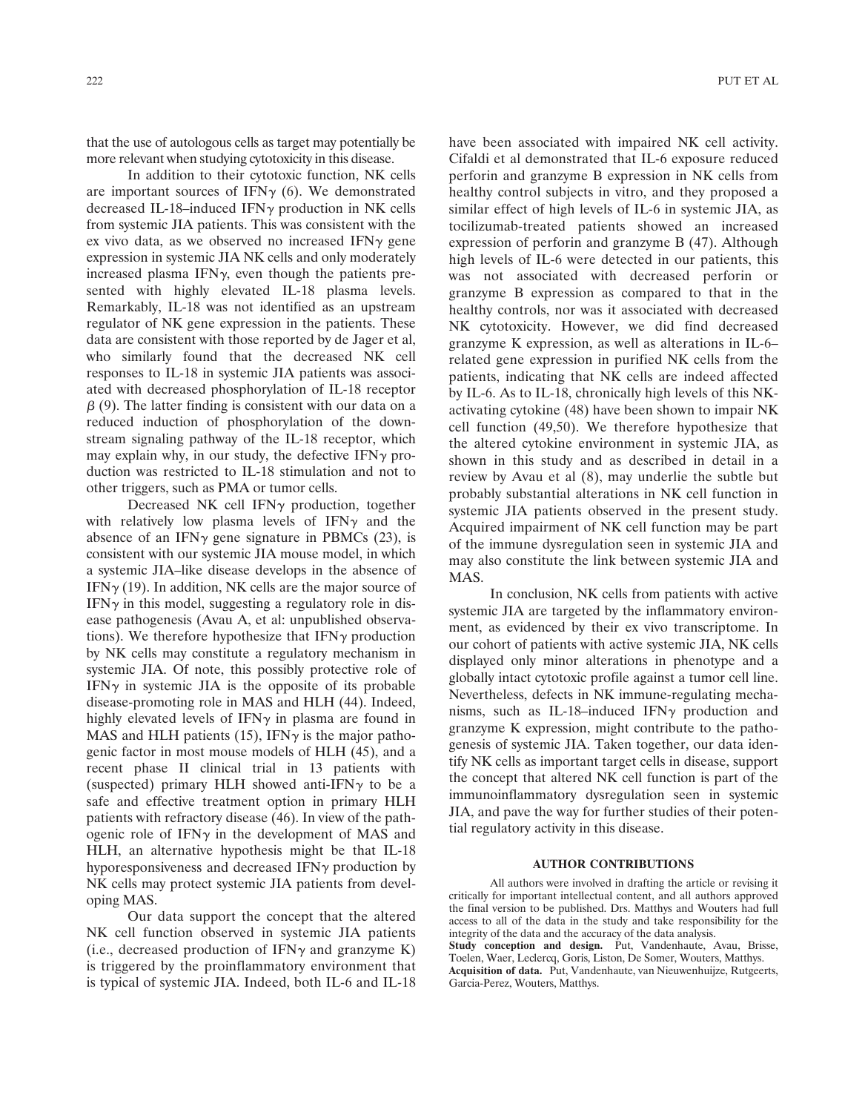that the use of autologous cells as target may potentially be more relevant when studying cytotoxicity in this disease.

In addition to their cytotoxic function, NK cells are important sources of IFN $\gamma$  (6). We demonstrated decreased IL-18–induced IFN $\gamma$  production in NK cells from systemic JIA patients. This was consistent with the ex vivo data, as we observed no increased IFN $\gamma$  gene expression in systemic JIA NK cells and only moderately increased plasma IFN $\gamma$ , even though the patients presented with highly elevated IL-18 plasma levels. Remarkably, IL-18 was not identified as an upstream regulator of NK gene expression in the patients. These data are consistent with those reported by de Jager et al, who similarly found that the decreased NK cell responses to IL-18 in systemic JIA patients was associated with decreased phosphorylation of IL-18 receptor  $\beta$  (9). The latter finding is consistent with our data on a reduced induction of phosphorylation of the downstream signaling pathway of the IL-18 receptor, which may explain why, in our study, the defective IFN $\gamma$  production was restricted to IL-18 stimulation and not to other triggers, such as PMA or tumor cells.

Decreased NK cell IFN $\gamma$  production, together with relatively low plasma levels of IFN $\gamma$  and the absence of an IFN $\gamma$  gene signature in PBMCs (23), is consistent with our systemic JIA mouse model, in which a systemic JIA–like disease develops in the absence of  $IFN\gamma$  (19). In addition, NK cells are the major source of  $IFN\gamma$  in this model, suggesting a regulatory role in disease pathogenesis (Avau A, et al: unpublished observations). We therefore hypothesize that  $IFN\gamma$  production by NK cells may constitute a regulatory mechanism in systemic JIA. Of note, this possibly protective role of IFN $\gamma$  in systemic JIA is the opposite of its probable disease-promoting role in MAS and HLH (44). Indeed, highly elevated levels of IFN $\gamma$  in plasma are found in MAS and HLH patients (15), IFN $\gamma$  is the major pathogenic factor in most mouse models of HLH (45), and a recent phase II clinical trial in 13 patients with (suspected) primary HLH showed anti-IFN $\gamma$  to be a safe and effective treatment option in primary HLH patients with refractory disease (46). In view of the pathogenic role of IFN $\gamma$  in the development of MAS and HLH, an alternative hypothesis might be that IL-18 hyporesponsiveness and decreased  $IFN<sub>\gamma</sub>$  production by NK cells may protect systemic JIA patients from developing MAS.

Our data support the concept that the altered NK cell function observed in systemic JIA patients (i.e., decreased production of IFN $\gamma$  and granzyme K) is triggered by the proinflammatory environment that is typical of systemic JIA. Indeed, both IL-6 and IL-18

have been associated with impaired NK cell activity. Cifaldi et al demonstrated that IL-6 exposure reduced perforin and granzyme B expression in NK cells from healthy control subjects in vitro, and they proposed a similar effect of high levels of IL-6 in systemic JIA, as tocilizumab-treated patients showed an increased expression of perforin and granzyme B (47). Although high levels of IL-6 were detected in our patients, this was not associated with decreased perforin or granzyme B expression as compared to that in the healthy controls, nor was it associated with decreased NK cytotoxicity. However, we did find decreased granzyme K expression, as well as alterations in IL-6– related gene expression in purified NK cells from the patients, indicating that NK cells are indeed affected by IL-6. As to IL-18, chronically high levels of this NKactivating cytokine (48) have been shown to impair NK cell function (49,50). We therefore hypothesize that the altered cytokine environment in systemic JIA, as shown in this study and as described in detail in a review by Avau et al (8), may underlie the subtle but probably substantial alterations in NK cell function in systemic JIA patients observed in the present study. Acquired impairment of NK cell function may be part of the immune dysregulation seen in systemic JIA and may also constitute the link between systemic JIA and MAS.

In conclusion, NK cells from patients with active systemic JIA are targeted by the inflammatory environment, as evidenced by their ex vivo transcriptome. In our cohort of patients with active systemic JIA, NK cells displayed only minor alterations in phenotype and a globally intact cytotoxic profile against a tumor cell line. Nevertheless, defects in NK immune-regulating mechanisms, such as IL-18-induced IFN $\gamma$  production and granzyme K expression, might contribute to the pathogenesis of systemic JIA. Taken together, our data identify NK cells as important target cells in disease, support the concept that altered NK cell function is part of the immunoinflammatory dysregulation seen in systemic JIA, and pave the way for further studies of their potential regulatory activity in this disease.

#### AUTHOR CONTRIBUTIONS

All authors were involved in drafting the article or revising it critically for important intellectual content, and all authors approved the final version to be published. Drs. Matthys and Wouters had full access to all of the data in the study and take responsibility for the integrity of the data and the accuracy of the data analysis. Study conception and design. Put, Vandenhaute, Avau, Brisse, Toelen, Waer, Leclercq, Goris, Liston, De Somer, Wouters, Matthys. Acquisition of data. Put, Vandenhaute, van Nieuwenhuijze, Rutgeerts, Garcia-Perez, Wouters, Matthys.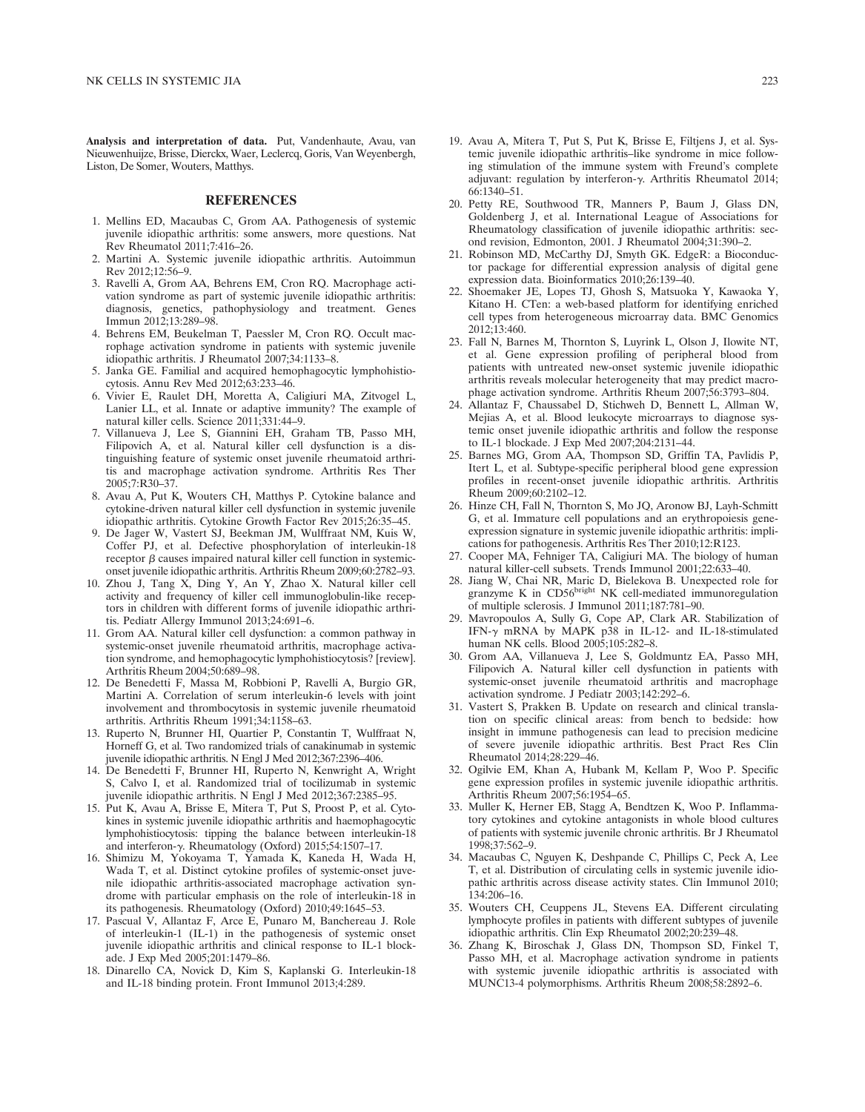Analysis and interpretation of data. Put, Vandenhaute, Avau, van Nieuwenhuijze, Brisse, Dierckx, Waer, Leclercq, Goris, Van Weyenbergh, Liston, De Somer, Wouters, Matthys.

### REFERENCES

- 1. Mellins ED, Macaubas C, Grom AA. Pathogenesis of systemic juvenile idiopathic arthritis: some answers, more questions. Nat Rev Rheumatol 2011;7:416–26.
- 2. Martini A. Systemic juvenile idiopathic arthritis. Autoimmun Rev 2012;12:56–9.
- 3. Ravelli A, Grom AA, Behrens EM, Cron RQ. Macrophage activation syndrome as part of systemic juvenile idiopathic arthritis: diagnosis, genetics, pathophysiology and treatment. Genes Immun 2012;13:289–98.
- 4. Behrens EM, Beukelman T, Paessler M, Cron RQ. Occult macrophage activation syndrome in patients with systemic juvenile idiopathic arthritis. J Rheumatol 2007;34:1133–8.
- 5. Janka GE. Familial and acquired hemophagocytic lymphohistiocytosis. Annu Rev Med 2012;63:233–46.
- 6. Vivier E, Raulet DH, Moretta A, Caligiuri MA, Zitvogel L, Lanier LL, et al. Innate or adaptive immunity? The example of natural killer cells. Science 2011;331:44–9.
- 7. Villanueva J, Lee S, Giannini EH, Graham TB, Passo MH, Filipovich A, et al. Natural killer cell dysfunction is a distinguishing feature of systemic onset juvenile rheumatoid arthritis and macrophage activation syndrome. Arthritis Res Ther 2005;7:R30–37.
- 8. Avau A, Put K, Wouters CH, Matthys P. Cytokine balance and cytokine-driven natural killer cell dysfunction in systemic juvenile idiopathic arthritis. Cytokine Growth Factor Rev 2015;26:35–45.
- 9. De Jager W, Vastert SJ, Beekman JM, Wulffraat NM, Kuis W, Coffer PJ, et al. Defective phosphorylation of interleukin-18 receptor  $\beta$  causes impaired natural killer cell function in systemiconset juvenile idiopathic arthritis. Arthritis Rheum 2009;60:2782–93.
- 10. Zhou J, Tang X, Ding Y, An Y, Zhao X. Natural killer cell activity and frequency of killer cell immunoglobulin-like receptors in children with different forms of juvenile idiopathic arthritis. Pediatr Allergy Immunol 2013;24:691–6.
- 11. Grom AA. Natural killer cell dysfunction: a common pathway in systemic-onset juvenile rheumatoid arthritis, macrophage activation syndrome, and hemophagocytic lymphohistiocytosis? [review]. Arthritis Rheum 2004;50:689–98.
- 12. De Benedetti F, Massa M, Robbioni P, Ravelli A, Burgio GR, Martini A. Correlation of serum interleukin-6 levels with joint involvement and thrombocytosis in systemic juvenile rheumatoid arthritis. Arthritis Rheum 1991;34:1158–63.
- 13. Ruperto N, Brunner HI, Quartier P, Constantin T, Wulffraat N, Horneff G, et al. Two randomized trials of canakinumab in systemic juvenile idiopathic arthritis. N Engl J Med 2012;367:2396–406.
- 14. De Benedetti F, Brunner HI, Ruperto N, Kenwright A, Wright S, Calvo I, et al. Randomized trial of tocilizumab in systemic juvenile idiopathic arthritis. N Engl J Med 2012;367:2385–95.
- 15. Put K, Avau A, Brisse E, Mitera T, Put S, Proost P, et al. Cytokines in systemic juvenile idiopathic arthritis and haemophagocytic lymphohistiocytosis: tipping the balance between interleukin-18 and interferon- $\gamma$ . Rheumatology (Oxford) 2015;54:1507-17.
- 16. Shimizu M, Yokoyama T, Yamada K, Kaneda H, Wada H, Wada T, et al. Distinct cytokine profiles of systemic-onset juvenile idiopathic arthritis-associated macrophage activation syndrome with particular emphasis on the role of interleukin-18 in its pathogenesis. Rheumatology (Oxford) 2010;49:1645–53.
- 17. Pascual V, Allantaz F, Arce E, Punaro M, Banchereau J. Role of interleukin-1 (IL-1) in the pathogenesis of systemic onset juvenile idiopathic arthritis and clinical response to IL-1 blockade. J Exp Med 2005;201:1479–86.
- 18. Dinarello CA, Novick D, Kim S, Kaplanski G. Interleukin-18 and IL-18 binding protein. Front Immunol 2013;4:289.
- 19. Avau A, Mitera T, Put S, Put K, Brisse E, Filtjens J, et al. Systemic juvenile idiopathic arthritis–like syndrome in mice following stimulation of the immune system with Freund's complete adjuvant: regulation by interferon-y. Arthritis Rheumatol 2014; 66:1340–51.
- 20. Petty RE, Southwood TR, Manners P, Baum J, Glass DN, Goldenberg J, et al. International League of Associations for Rheumatology classification of juvenile idiopathic arthritis: second revision, Edmonton, 2001. J Rheumatol 2004;31:390–2.
- 21. Robinson MD, McCarthy DJ, Smyth GK. EdgeR: a Bioconductor package for differential expression analysis of digital gene expression data. Bioinformatics 2010;26:139–40.
- 22. Shoemaker JE, Lopes TJ, Ghosh S, Matsuoka Y, Kawaoka Y, Kitano H. CTen: a web-based platform for identifying enriched cell types from heterogeneous microarray data. BMC Genomics 2012;13:460.
- 23. Fall N, Barnes M, Thornton S, Luyrink L, Olson J, Ilowite NT, et al. Gene expression profiling of peripheral blood from patients with untreated new-onset systemic juvenile idiopathic arthritis reveals molecular heterogeneity that may predict macrophage activation syndrome. Arthritis Rheum 2007;56:3793–804.
- 24. Allantaz F, Chaussabel D, Stichweh D, Bennett L, Allman W, Mejias A, et al. Blood leukocyte microarrays to diagnose systemic onset juvenile idiopathic arthritis and follow the response to IL-1 blockade. J Exp Med 2007;204:2131–44.
- 25. Barnes MG, Grom AA, Thompson SD, Griffin TA, Pavlidis P, Itert L, et al. Subtype-specific peripheral blood gene expression profiles in recent-onset juvenile idiopathic arthritis. Arthritis Rheum 2009;60:2102–12.
- 26. Hinze CH, Fall N, Thornton S, Mo JQ, Aronow BJ, Layh-Schmitt G, et al. Immature cell populations and an erythropoiesis geneexpression signature in systemic juvenile idiopathic arthritis: implications for pathogenesis. Arthritis Res Ther 2010;12:R123.
- 27. Cooper MA, Fehniger TA, Caligiuri MA. The biology of human natural killer-cell subsets. Trends Immunol 2001;22:633–40.
- 28. Jiang W, Chai NR, Maric D, Bielekova B. Unexpected role for granzyme K in CD56<sup>bright</sup> NK cell-mediated immunoregulation of multiple sclerosis. J Immunol 2011;187:781–90.
- 29. Mavropoulos A, Sully G, Cope AP, Clark AR. Stabilization of IFN-<sup>g</sup> mRNA by MAPK p38 in IL-12- and IL-18-stimulated human NK cells. Blood 2005;105:282–8.
- 30. Grom AA, Villanueva J, Lee S, Goldmuntz EA, Passo MH, Filipovich A. Natural killer cell dysfunction in patients with systemic-onset juvenile rheumatoid arthritis and macrophage activation syndrome. J Pediatr 2003;142:292–6.
- 31. Vastert S, Prakken B. Update on research and clinical translation on specific clinical areas: from bench to bedside: how insight in immune pathogenesis can lead to precision medicine of severe juvenile idiopathic arthritis. Best Pract Res Clin Rheumatol 2014;28:229–46.
- 32. Ogilvie EM, Khan A, Hubank M, Kellam P, Woo P. Specific gene expression profiles in systemic juvenile idiopathic arthritis. Arthritis Rheum 2007;56:1954–65.
- 33. Muller K, Herner EB, Stagg A, Bendtzen K, Woo P. Inflammatory cytokines and cytokine antagonists in whole blood cultures of patients with systemic juvenile chronic arthritis. Br J Rheumatol 1998;37:562–9.
- 34. Macaubas C, Nguyen K, Deshpande C, Phillips C, Peck A, Lee T, et al. Distribution of circulating cells in systemic juvenile idiopathic arthritis across disease activity states. Clin Immunol 2010; 134:206–16.
- 35. Wouters CH, Ceuppens JL, Stevens EA. Different circulating lymphocyte profiles in patients with different subtypes of juvenile idiopathic arthritis. Clin Exp Rheumatol 2002;20:239–48.
- 36. Zhang K, Biroschak J, Glass DN, Thompson SD, Finkel T, Passo MH, et al. Macrophage activation syndrome in patients with systemic juvenile idiopathic arthritis is associated with MUNC13-4 polymorphisms. Arthritis Rheum 2008;58:2892–6.